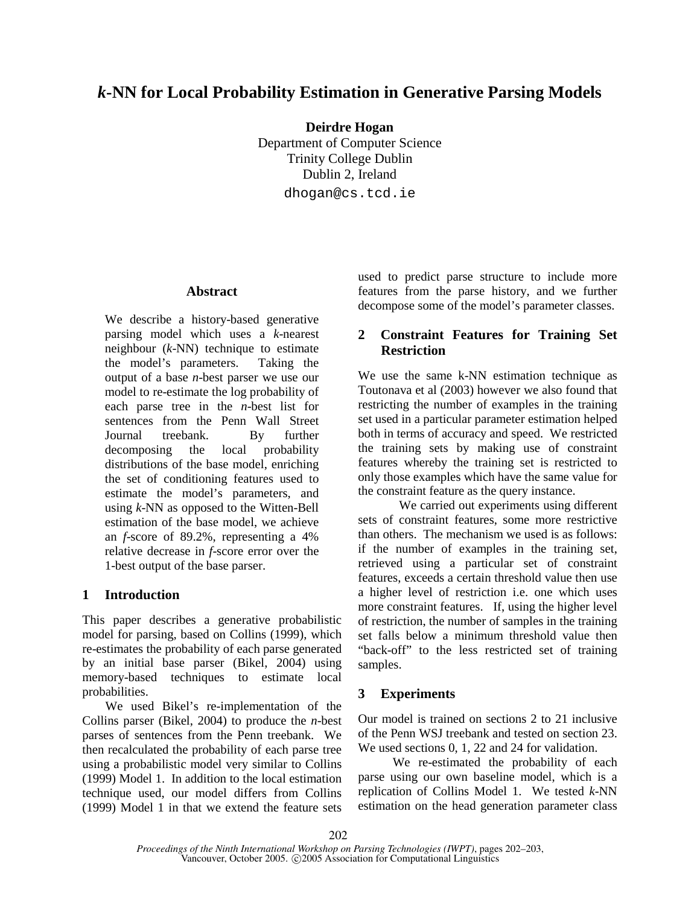# *k***-NN for Local Probability Estimation in Generative Parsing Models**

**Deirdre Hogan**

Department of Computer Science Trinity College Dublin Dublin 2, Ireland dhogan@cs.tcd.ie

#### **Abstract**

We describe a history-based generative parsing model which uses a *k*-nearest neighbour (*k*-NN) technique to estimate the model's parameters. Taking the output of a base *n*-best parser we use our model to re-estimate the log probability of each parse tree in the *n*-best list for sentences from the Penn Wall Street Journal treebank. By further decomposing the local probability distributions of the base model, enriching the set of conditioning features used to estimate the model's parameters, and using *k*-NN as opposed to the Witten-Bell estimation of the base model, we achieve an *f*-score of 89.2%, representing a 4% relative decrease in *f*-score error over the 1-best output of the base parser.

## **1 Introduction**

This paper describes a generative probabilistic model for parsing, based on Collins (1999), which re-estimates the probability of each parse generated by an initial base parser (Bikel, 2004) using memory-based techniques to estimate local probabilities.

We used Bikel's re-implementation of the Collins parser (Bikel, 2004) to produce the *n*-best parses of sentences from the Penn treebank. We then recalculated the probability of each parse tree using a probabilistic model very similar to Collins (1999) Model 1. In addition to the local estimation technique used, our model differs from Collins (1999) Model 1 in that we extend the feature sets used to predict parse structure to include more features from the parse history, and we further decompose some of the model's parameter classes.

## **2 Constraint Features for Training Set Restriction**

We use the same k-NN estimation technique as Toutonava et al (2003) however we also found that restricting the number of examples in the training set used in a particular parameter estimation helped both in terms of accuracy and speed. We restricted the training sets by making use of constraint features whereby the training set is restricted to only those examples which have the same value for the constraint feature as the query instance.

We carried out experiments using different sets of constraint features, some more restrictive than others. The mechanism we used is as follows: if the number of examples in the training set, retrieved using a particular set of constraint features, exceeds a certain threshold value then use a higher level of restriction i.e. one which uses more constraint features. If, using the higher level of restriction, the number of samples in the training set falls below a minimum threshold value then "back-off" to the less restricted set of training samples.

## **3 Experiments**

Our model is trained on sections 2 to 21 inclusive of the Penn WSJ treebank and tested on section 23. We used sections 0, 1, 22 and 24 for validation.

We re-estimated the probability of each parse using our own baseline model, which is a replication of Collins Model 1. We tested *k*-NN estimation on the head generation parameter class